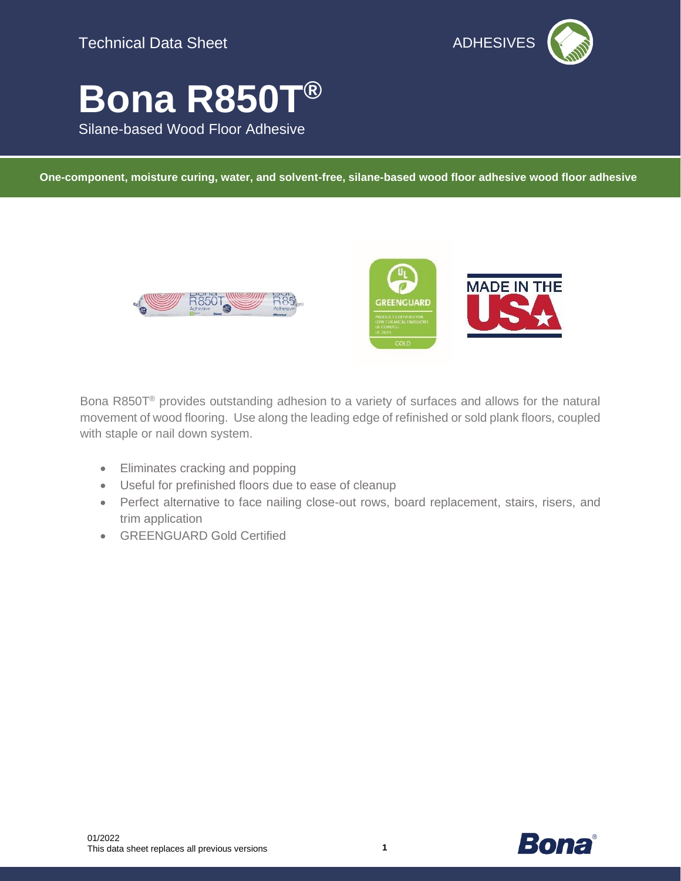

# **Bona R850T®**

Silane-based Wood Floor Adhesive

**One-component, moisture curing, water, and solvent-free, silane-based wood floor adhesive wood floor adhesive**





Bona R850T® provides outstanding adhesion to a variety of surfaces and allows for the natural movement of wood flooring. Use along the leading edge of refinished or sold plank floors, coupled with staple or nail down system.

- Eliminates cracking and popping
- Useful for prefinished floors due to ease of cleanup
- Perfect alternative to face nailing close-out rows, board replacement, stairs, risers, and trim application
- GREENGUARD Gold Certified

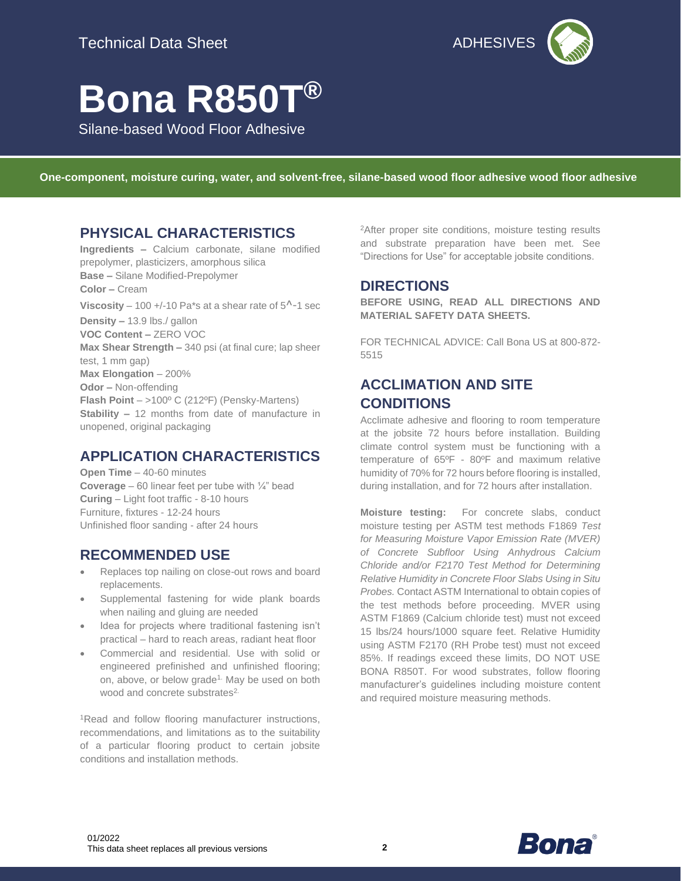

## **Bona R850T®**

Silane-based Wood Floor Adhesive

**One-component, moisture curing, water, and solvent-free, silane-based wood floor adhesive wood floor adhesive**

### **PHYSICAL CHARACTERISTICS**

**Ingredients –** Calcium carbonate, silane modified prepolymer, plasticizers, amorphous silica **Base –** Silane Modified-Prepolymer **Color –** Cream **Viscosity** – 100 +/-10 Pa\*s at a shear rate of  $5^{\wedge}$ -1 sec **Density –** 13.9 lbs./ gallon **VOC Content –** ZERO VOC **Max Shear Strength –** 340 psi (at final cure; lap sheer test, 1 mm gap) **Max Elongation** – 200% **Odor –** Non-offending **Flash Point** – >100º C (212ºF) (Pensky-Martens) **Stability –** 12 months from date of manufacture in unopened, original packaging

## **APPLICATION CHARACTERISTICS**

**Open Time** – 40-60 minutes **Coverage** – 60 linear feet per tube with ¼" bead **Curing** – Light foot traffic - 8-10 hours Furniture, fixtures - 12-24 hours Unfinished floor sanding - after 24 hours

#### **RECOMMENDED USE**

- Replaces top nailing on close-out rows and board replacements.
- Supplemental fastening for wide plank boards when nailing and gluing are needed
- Idea for projects where traditional fastening isn't practical – hard to reach areas, radiant heat floor
- Commercial and residential. Use with solid or engineered prefinished and unfinished flooring; on, above, or below grade<sup>1.</sup> May be used on both wood and concrete substrates<sup>2.</sup>

<sup>1</sup>Read and follow flooring manufacturer instructions, recommendations, and limitations as to the suitability of a particular flooring product to certain jobsite conditions and installation methods.

<sup>2</sup>After proper site conditions, moisture testing results and substrate preparation have been met. See "Directions for Use" for acceptable jobsite conditions.

#### **DIRECTIONS**

**BEFORE USING, READ ALL DIRECTIONS AND MATERIAL SAFETY DATA SHEETS.**

FOR TECHNICAL ADVICE: Call Bona US at 800-872- 5515

## **ACCLIMATION AND SITE CONDITIONS**

Acclimate adhesive and flooring to room temperature at the jobsite 72 hours before installation. Building climate control system must be functioning with a temperature of 65ºF - 80ºF and maximum relative humidity of 70% for 72 hours before flooring is installed, during installation, and for 72 hours after installation.

**Moisture testing:** For concrete slabs, conduct moisture testing per ASTM test methods F1869 *Test for Measuring Moisture Vapor Emission Rate (MVER) of Concrete Subfloor Using Anhydrous Calcium Chloride and/or F2170 Test Method for Determining Relative Humidity in Concrete Floor Slabs Using in Situ Probes.* Contact ASTM International to obtain copies of the test methods before proceeding. MVER using ASTM F1869 (Calcium chloride test) must not exceed 15 lbs/24 hours/1000 square feet. Relative Humidity using ASTM F2170 (RH Probe test) must not exceed 85%. If readings exceed these limits, DO NOT USE BONA R850T. For wood substrates, follow flooring manufacturer's guidelines including moisture content and required moisture measuring methods.